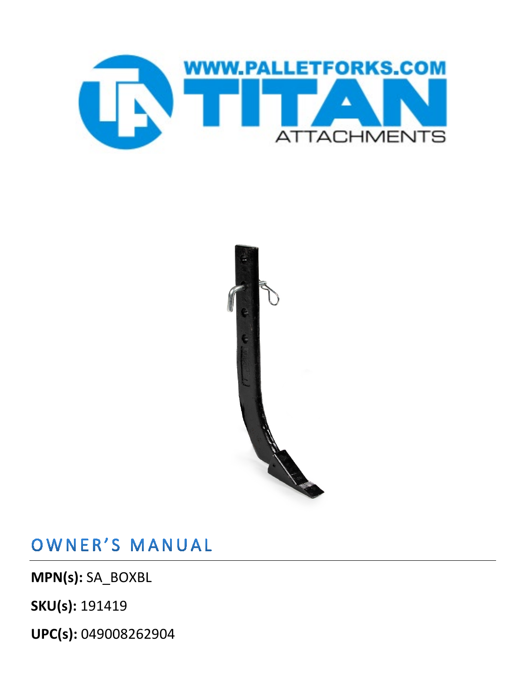



OWNER'S MANUAL

**MPN(s):** SA\_BOXBL

**SKU(s):** 191419

**UPC(s):** 049008262904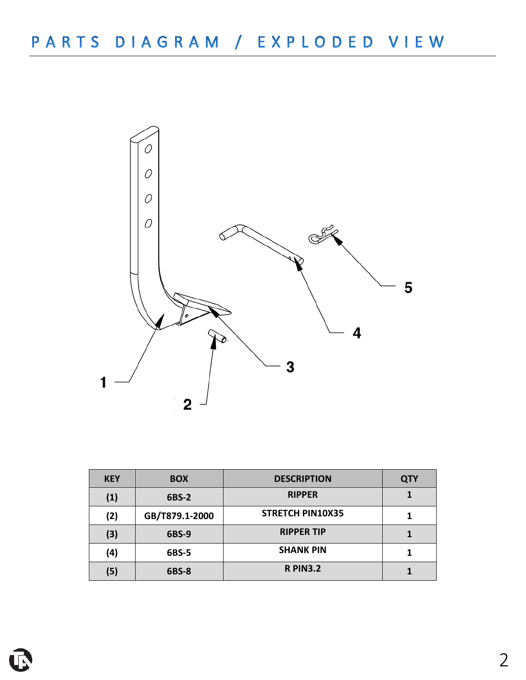

| <b>KEY</b> | <b>BOX</b>     | <b>DESCRIPTION</b>      | <b>QTY</b> |
|------------|----------------|-------------------------|------------|
| (1)        | 6BS-2          | <b>RIPPER</b>           |            |
| (2)        | GB/T879.1-2000 | <b>STRETCH PIN10X35</b> |            |
| (3)        | 6BS-9          | <b>RIPPER TIP</b>       |            |
| (4)        | 6BS-5          | <b>SHANK PIN</b>        |            |
| (5)        | 6BS-8          | <b>R PIN3.2</b>         |            |